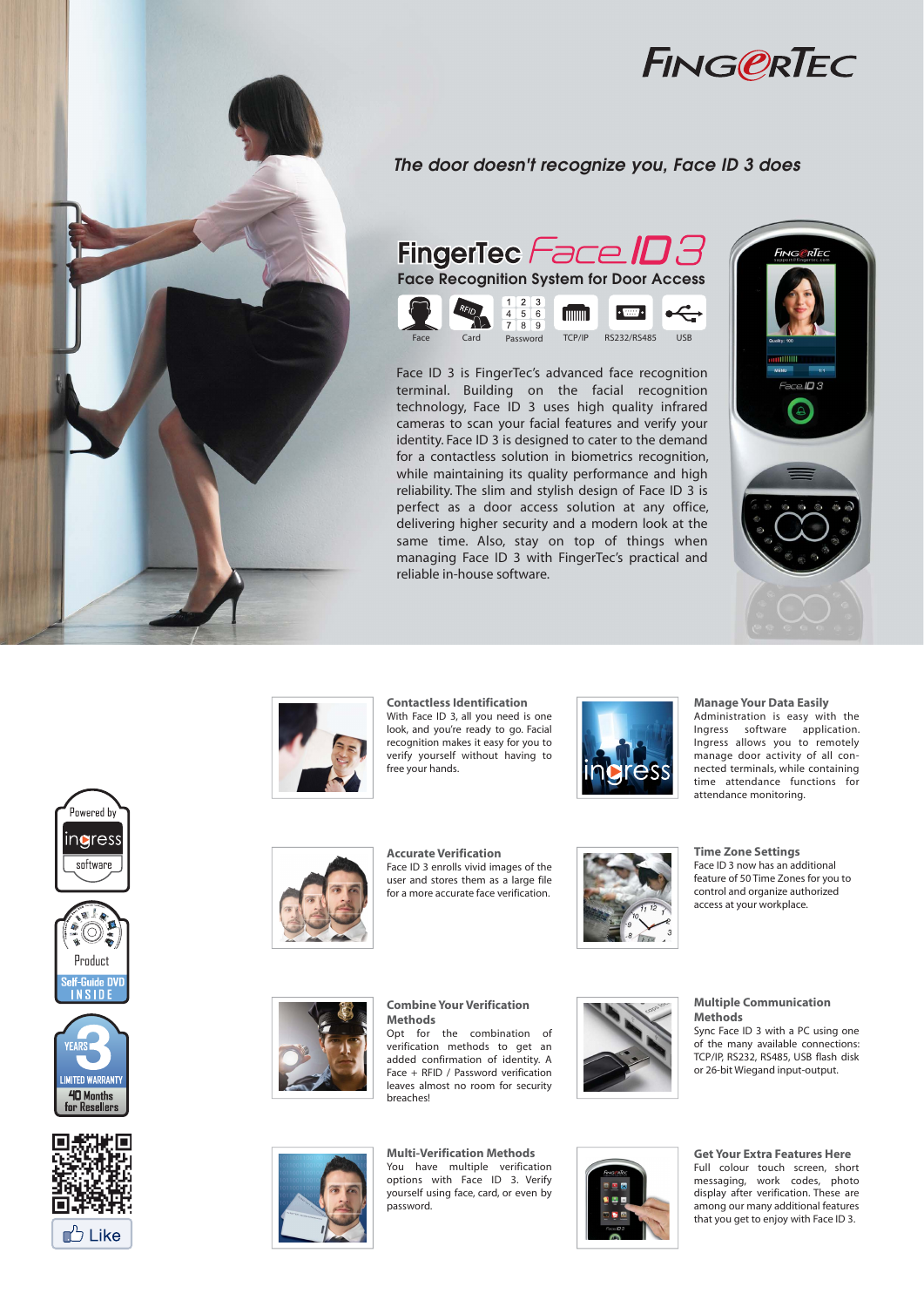



# *The door doesn't recognize you, Face ID 3 does*





Face ID 3 is FingerTec's advanced face recognition terminal. Building on the facial recognition technology, Face ID 3 uses high quality infrared cameras to scan your facial features and verify your identity. Face ID 3 is designed to cater to the demand for a contactless solution in biometrics recognition, while maintaining its quality performance and high reliability. The slim and stylish design of Face ID 3 is perfect as a door access solution at any office, delivering higher security and a modern look at the same time. Also, stay on top of things when managing Face ID 3 with FingerTec's practical and reliable in-house software.





**Contactless Identification** With Face ID 3, all you need is one look, and you're ready to go. Facial recognition makes it easy for you to verify yourself without having to free your hands.



# **Manage Your Data Easily**

Administration is easy with the Ingress software application. Ingress allows you to remotely manage door activity of all connected terminals, while containing time attendance functions for attendance monitoring.











**Accurate Verification** Face ID 3 enrolls vivid images of the user and stores them as a large file for a more accurate face verification.



**Time Zone Settings** Face ID 3 now has an additional feature of 50 Time Zones for you to control and organize authorized access at your workplace.



# **Combine Your Verification Methods**

Opt for the combination of verification methods to get an added confirmation of identity. A Face + RFID / Password verification leaves almost no room for security breaches!



### **Multiple Communication Methods**

Sync Face ID 3 with a PC using one of the many available connections: TCP/IP, RS232, RS485, USB flash disk or 26-bit Wiegand input-output.



**Multi-Verification Methods** You have multiple verification options with Face ID 3. Verify yourself using face, card, or even by password.



**Get Your Extra Features Here** Full colour touch screen, short messaging, work codes, photo display after verification. These are among our many additional features that you get to enjoy with Face ID 3.